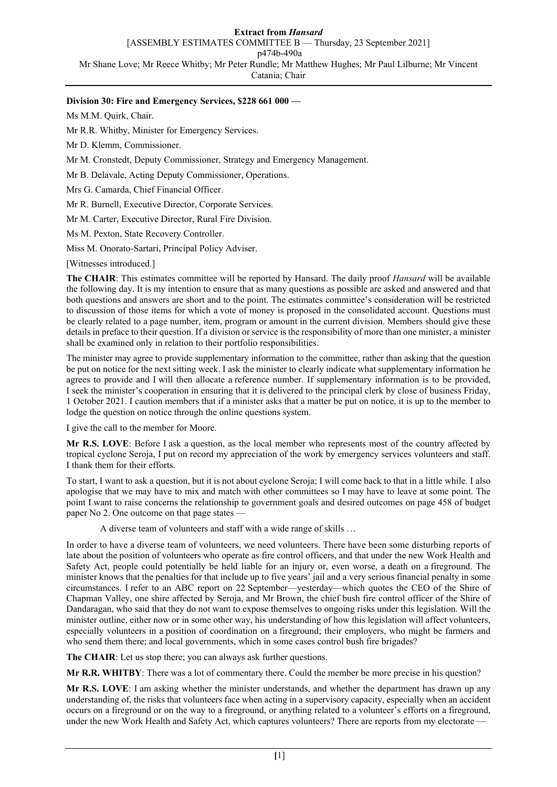### **Division 30: Fire and Emergency Services, \$228 661 000 —**

Ms M.M. Quirk, Chair.

Mr R.R. Whitby, Minister for Emergency Services.

Mr D. Klemm, Commissioner.

Mr M. Cronstedt, Deputy Commissioner, Strategy and Emergency Management.

Mr B. Delavale, Acting Deputy Commissioner, Operations.

Mrs G. Camarda, Chief Financial Officer.

Mr R. Burnell, Executive Director, Corporate Services.

Mr M. Carter, Executive Director, Rural Fire Division.

Ms M. Pexton, State Recovery Controller.

Miss M. Onorato-Sartari, Principal Policy Adviser.

[Witnesses introduced.]

**The CHAIR**: This estimates committee will be reported by Hansard. The daily proof *Hansard* will be available the following day. It is my intention to ensure that as many questions as possible are asked and answered and that both questions and answers are short and to the point. The estimates committee's consideration will be restricted to discussion of those items for which a vote of money is proposed in the consolidated account. Questions must be clearly related to a page number, item, program or amount in the current division. Members should give these details in preface to their question. If a division or service is the responsibility of more than one minister, a minister shall be examined only in relation to their portfolio responsibilities.

The minister may agree to provide supplementary information to the committee, rather than asking that the question be put on notice for the next sitting week. I ask the minister to clearly indicate what supplementary information he agrees to provide and I will then allocate a reference number. If supplementary information is to be provided, I seek the minister's cooperation in ensuring that it is delivered to the principal clerk by close of business Friday, 1 October 2021. I caution members that if a minister asks that a matter be put on notice, it is up to the member to lodge the question on notice through the online questions system.

I give the call to the member for Moore.

**Mr R.S. LOVE**: Before I ask a question, as the local member who represents most of the country affected by tropical cyclone Seroja, I put on record my appreciation of the work by emergency services volunteers and staff. I thank them for their efforts.

To start, I want to ask a question, but it is not about cyclone Seroja; I will come back to that in a little while. I also apologise that we may have to mix and match with other committees so I may have to leave at some point. The point I want to raise concerns the relationship to government goals and desired outcomes on page 458 of budget paper No 2. One outcome on that page states —

A diverse team of volunteers and staff with a wide range of skills …

In order to have a diverse team of volunteers, we need volunteers. There have been some disturbing reports of late about the position of volunteers who operate as fire control officers, and that under the new Work Health and Safety Act, people could potentially be held liable for an injury or, even worse, a death on a fireground. The minister knows that the penalties for that include up to five years' jail and a very serious financial penalty in some circumstances. I refer to an ABC report on 22 September—yesterday—which quotes the CEO of the Shire of Chapman Valley, one shire affected by Seroja, and Mr Brown, the chief bush fire control officer of the Shire of Dandaragan, who said that they do not want to expose themselves to ongoing risks under this legislation. Will the minister outline, either now or in some other way, his understanding of how this legislation will affect volunteers, especially volunteers in a position of coordination on a fireground; their employers, who might be farmers and who send them there; and local governments, which in some cases control bush fire brigades?

**The CHAIR**: Let us stop there; you can always ask further questions.

**Mr R.R. WHITBY**: There was a lot of commentary there. Could the member be more precise in his question?

**Mr R.S. LOVE**: I am asking whether the minister understands, and whether the department has drawn up any understanding of, the risks that volunteers face when acting in a supervisory capacity, especially when an accident occurs on a fireground or on the way to a fireground, or anything related to a volunteer's efforts on a fireground, under the new Work Health and Safety Act, which captures volunteers? There are reports from my electorate -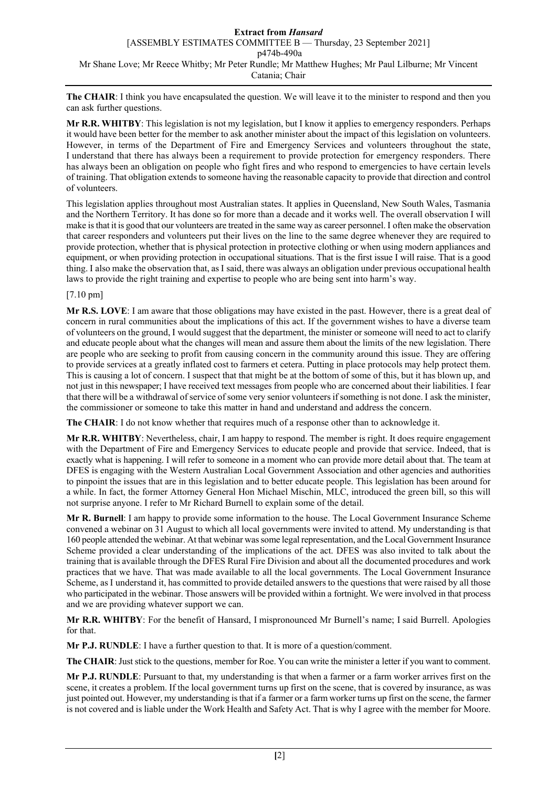**The CHAIR**: I think you have encapsulated the question. We will leave it to the minister to respond and then you can ask further questions.

**Mr R.R. WHITBY**: This legislation is not my legislation, but I know it applies to emergency responders. Perhaps it would have been better for the member to ask another minister about the impact of this legislation on volunteers. However, in terms of the Department of Fire and Emergency Services and volunteers throughout the state, I understand that there has always been a requirement to provide protection for emergency responders. There has always been an obligation on people who fight fires and who respond to emergencies to have certain levels of training. That obligation extends to someone having the reasonable capacity to provide that direction and control of volunteers.

This legislation applies throughout most Australian states. It applies in Queensland, New South Wales, Tasmania and the Northern Territory. It has done so for more than a decade and it works well. The overall observation I will make is that it is good that our volunteers are treated in the same way as career personnel. I often make the observation that career responders and volunteers put their lives on the line to the same degree whenever they are required to provide protection, whether that is physical protection in protective clothing or when using modern appliances and equipment, or when providing protection in occupational situations. That is the first issue I will raise. That is a good thing. I also make the observation that, as I said, there was always an obligation under previous occupational health laws to provide the right training and expertise to people who are being sent into harm's way.

# [7.10 pm]

**Mr R.S. LOVE**: I am aware that those obligations may have existed in the past. However, there is a great deal of concern in rural communities about the implications of this act. If the government wishes to have a diverse team of volunteers on the ground, I would suggest that the department, the minister or someone will need to act to clarify and educate people about what the changes will mean and assure them about the limits of the new legislation. There are people who are seeking to profit from causing concern in the community around this issue. They are offering to provide services at a greatly inflated cost to farmers et cetera. Putting in place protocols may help protect them. This is causing a lot of concern. I suspect that that might be at the bottom of some of this, but it has blown up, and not just in this newspaper; I have received text messages from people who are concerned about their liabilities. I fear that there will be a withdrawal of service of some very senior volunteers if something is not done. I ask the minister, the commissioner or someone to take this matter in hand and understand and address the concern.

**The CHAIR**: I do not know whether that requires much of a response other than to acknowledge it.

**Mr R.R. WHITBY**: Nevertheless, chair, I am happy to respond. The member is right. It does require engagement with the Department of Fire and Emergency Services to educate people and provide that service. Indeed, that is exactly what is happening. I will refer to someone in a moment who can provide more detail about that. The team at DFES is engaging with the Western Australian Local Government Association and other agencies and authorities to pinpoint the issues that are in this legislation and to better educate people. This legislation has been around for a while. In fact, the former Attorney General Hon Michael Mischin, MLC, introduced the green bill, so this will not surprise anyone. I refer to Mr Richard Burnell to explain some of the detail.

**Mr R. Burnell**: I am happy to provide some information to the house. The Local Government Insurance Scheme convened a webinar on 31 August to which all local governments were invited to attend. My understanding is that 160 people attended the webinar. At that webinar was some legal representation, and the Local Government Insurance Scheme provided a clear understanding of the implications of the act. DFES was also invited to talk about the training that is available through the DFES Rural Fire Division and about all the documented procedures and work practices that we have. That was made available to all the local governments. The Local Government Insurance Scheme, as I understand it, has committed to provide detailed answers to the questions that were raised by all those who participated in the webinar. Those answers will be provided within a fortnight. We were involved in that process and we are providing whatever support we can.

**Mr R.R. WHITBY**: For the benefit of Hansard, I mispronounced Mr Burnell's name; I said Burrell. Apologies for that.

**Mr P.J. RUNDLE**: I have a further question to that. It is more of a question/comment.

**The CHAIR**: Just stick to the questions, member for Roe. You can write the minister a letter if you want to comment.

**Mr P.J. RUNDLE**: Pursuant to that, my understanding is that when a farmer or a farm worker arrives first on the scene, it creates a problem. If the local government turns up first on the scene, that is covered by insurance, as was just pointed out. However, my understanding is that if a farmer or a farm worker turns up first on the scene, the farmer is not covered and is liable under the Work Health and Safety Act. That is why I agree with the member for Moore.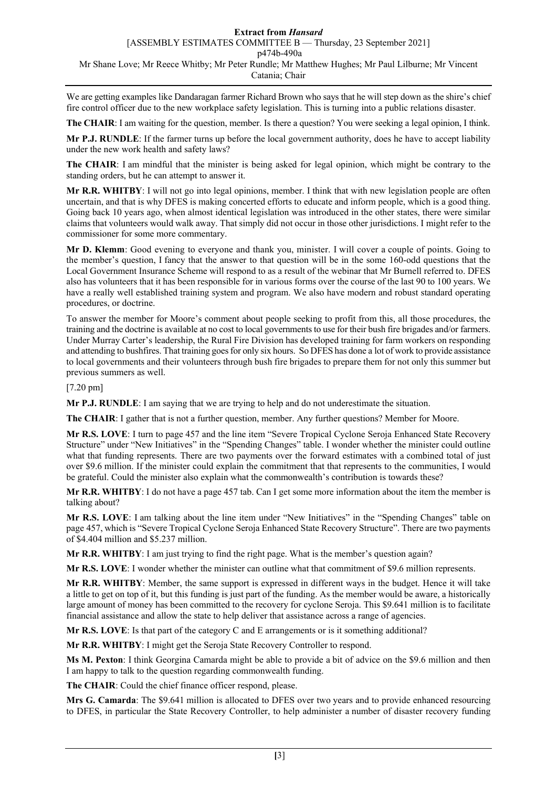# **Extract from** *Hansard* [ASSEMBLY ESTIMATES COMMITTEE B — Thursday, 23 September 2021] p474b-490a

Mr Shane Love; Mr Reece Whitby; Mr Peter Rundle; Mr Matthew Hughes; Mr Paul Lilburne; Mr Vincent Catania; Chair

We are getting examples like Dandaragan farmer Richard Brown who says that he will step down as the shire's chief fire control officer due to the new workplace safety legislation. This is turning into a public relations disaster.

**The CHAIR**: I am waiting for the question, member. Is there a question? You were seeking a legal opinion, I think.

**Mr P.J. RUNDLE**: If the farmer turns up before the local government authority, does he have to accept liability under the new work health and safety laws?

**The CHAIR**: I am mindful that the minister is being asked for legal opinion, which might be contrary to the standing orders, but he can attempt to answer it.

**Mr R.R. WHITBY**: I will not go into legal opinions, member. I think that with new legislation people are often uncertain, and that is why DFES is making concerted efforts to educate and inform people, which is a good thing. Going back 10 years ago, when almost identical legislation was introduced in the other states, there were similar claims that volunteers would walk away. That simply did not occur in those other jurisdictions. I might refer to the commissioner for some more commentary.

**Mr D. Klemm**: Good evening to everyone and thank you, minister. I will cover a couple of points. Going to the member's question, I fancy that the answer to that question will be in the some 160-odd questions that the Local Government Insurance Scheme will respond to as a result of the webinar that Mr Burnell referred to. DFES also has volunteers that it has been responsible for in various forms over the course of the last 90 to 100 years. We have a really well established training system and program. We also have modern and robust standard operating procedures, or doctrine.

To answer the member for Moore's comment about people seeking to profit from this, all those procedures, the training and the doctrine is available at no cost to local governments to use for their bush fire brigades and/or farmers. Under Murray Carter's leadership, the Rural Fire Division has developed training for farm workers on responding and attending to bushfires. That training goes for only six hours. So DFES has done a lot of work to provide assistance to local governments and their volunteers through bush fire brigades to prepare them for not only this summer but previous summers as well.

[7.20 pm]

**Mr P.J. RUNDLE**: I am saying that we are trying to help and do not underestimate the situation.

**The CHAIR**: I gather that is not a further question, member. Any further questions? Member for Moore.

**Mr R.S. LOVE**: I turn to page 457 and the line item "Severe Tropical Cyclone Seroja Enhanced State Recovery Structure" under "New Initiatives" in the "Spending Changes" table. I wonder whether the minister could outline what that funding represents. There are two payments over the forward estimates with a combined total of just over \$9.6 million. If the minister could explain the commitment that that represents to the communities, I would be grateful. Could the minister also explain what the commonwealth's contribution is towards these?

**Mr R.R. WHITBY**: I do not have a page 457 tab. Can I get some more information about the item the member is talking about?

**Mr R.S. LOVE**: I am talking about the line item under "New Initiatives" in the "Spending Changes" table on page 457, which is "Severe Tropical Cyclone Seroja Enhanced State Recovery Structure". There are two payments of \$4.404 million and \$5.237 million.

**Mr R.R. WHITBY**: I am just trying to find the right page. What is the member's question again?

**Mr R.S. LOVE**: I wonder whether the minister can outline what that commitment of \$9.6 million represents.

**Mr R.R. WHITBY**: Member, the same support is expressed in different ways in the budget. Hence it will take a little to get on top of it, but this funding is just part of the funding. As the member would be aware, a historically large amount of money has been committed to the recovery for cyclone Seroja. This \$9.641 million is to facilitate financial assistance and allow the state to help deliver that assistance across a range of agencies.

**Mr R.S. LOVE**: Is that part of the category C and E arrangements or is it something additional?

**Mr R.R. WHITBY**: I might get the Seroja State Recovery Controller to respond.

**Ms M. Pexton**: I think Georgina Camarda might be able to provide a bit of advice on the \$9.6 million and then I am happy to talk to the question regarding commonwealth funding.

**The CHAIR**: Could the chief finance officer respond, please.

**Mrs G. Camarda**: The \$9.641 million is allocated to DFES over two years and to provide enhanced resourcing to DFES, in particular the State Recovery Controller, to help administer a number of disaster recovery funding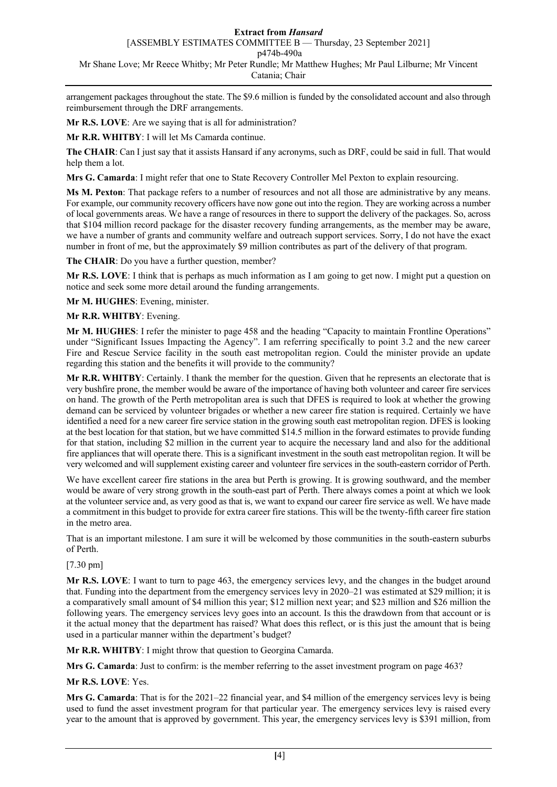# **Extract from** *Hansard*

[ASSEMBLY ESTIMATES COMMITTEE B — Thursday, 23 September 2021]

p474b-490a

Mr Shane Love; Mr Reece Whitby; Mr Peter Rundle; Mr Matthew Hughes; Mr Paul Lilburne; Mr Vincent Catania; Chair

arrangement packages throughout the state. The \$9.6 million is funded by the consolidated account and also through reimbursement through the DRF arrangements.

**Mr R.S. LOVE**: Are we saying that is all for administration?

**Mr R.R. WHITBY**: I will let Ms Camarda continue.

**The CHAIR**: Can I just say that it assists Hansard if any acronyms, such as DRF, could be said in full. That would help them a lot.

**Mrs G. Camarda**: I might refer that one to State Recovery Controller Mel Pexton to explain resourcing.

**Ms M. Pexton**: That package refers to a number of resources and not all those are administrative by any means. For example, our community recovery officers have now gone out into the region. They are working across a number of local governments areas. We have a range of resources in there to support the delivery of the packages. So, across that \$104 million record package for the disaster recovery funding arrangements, as the member may be aware, we have a number of grants and community welfare and outreach support services. Sorry, I do not have the exact number in front of me, but the approximately \$9 million contributes as part of the delivery of that program.

**The CHAIR**: Do you have a further question, member?

**Mr R.S. LOVE**: I think that is perhaps as much information as I am going to get now. I might put a question on notice and seek some more detail around the funding arrangements.

**Mr M. HUGHES**: Evening, minister.

**Mr R.R. WHITBY**: Evening.

**Mr M. HUGHES**: I refer the minister to page 458 and the heading "Capacity to maintain Frontline Operations" under "Significant Issues Impacting the Agency". I am referring specifically to point 3.2 and the new career Fire and Rescue Service facility in the south east metropolitan region. Could the minister provide an update regarding this station and the benefits it will provide to the community?

**Mr R.R. WHITBY**: Certainly. I thank the member for the question. Given that he represents an electorate that is very bushfire prone, the member would be aware of the importance of having both volunteer and career fire services on hand. The growth of the Perth metropolitan area is such that DFES is required to look at whether the growing demand can be serviced by volunteer brigades or whether a new career fire station is required. Certainly we have identified a need for a new career fire service station in the growing south east metropolitan region. DFES is looking at the best location for that station, but we have committed \$14.5 million in the forward estimates to provide funding for that station, including \$2 million in the current year to acquire the necessary land and also for the additional fire appliances that will operate there. This is a significant investment in the south east metropolitan region. It will be very welcomed and will supplement existing career and volunteer fire services in the south-eastern corridor of Perth.

We have excellent career fire stations in the area but Perth is growing. It is growing southward, and the member would be aware of very strong growth in the south-east part of Perth. There always comes a point at which we look at the volunteer service and, as very good as that is, we want to expand our career fire service as well. We have made a commitment in this budget to provide for extra career fire stations. This will be the twenty-fifth career fire station in the metro area.

That is an important milestone. I am sure it will be welcomed by those communities in the south-eastern suburbs of Perth.

# [7.30 pm]

**Mr R.S. LOVE**: I want to turn to page 463, the emergency services levy, and the changes in the budget around that. Funding into the department from the emergency services levy in 2020–21 was estimated at \$29 million; it is a comparatively small amount of \$4 million this year; \$12 million next year; and \$23 million and \$26 million the following years. The emergency services levy goes into an account. Is this the drawdown from that account or is it the actual money that the department has raised? What does this reflect, or is this just the amount that is being used in a particular manner within the department's budget?

**Mr R.R. WHITBY**: I might throw that question to Georgina Camarda.

**Mrs G. Camarda**: Just to confirm: is the member referring to the asset investment program on page 463?

**Mr R.S. LOVE**: Yes.

**Mrs G. Camarda**: That is for the 2021–22 financial year, and \$4 million of the emergency services levy is being used to fund the asset investment program for that particular year. The emergency services levy is raised every year to the amount that is approved by government. This year, the emergency services levy is \$391 million, from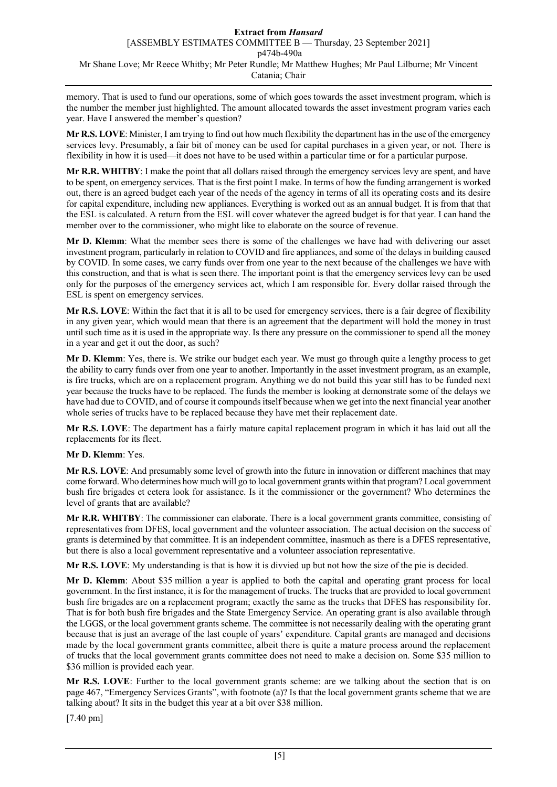memory. That is used to fund our operations, some of which goes towards the asset investment program, which is the number the member just highlighted. The amount allocated towards the asset investment program varies each year. Have I answered the member's question?

**Mr R.S. LOVE**: Minister, I am trying to find out how much flexibility the department has in the use of the emergency services levy. Presumably, a fair bit of money can be used for capital purchases in a given year, or not. There is flexibility in how it is used—it does not have to be used within a particular time or for a particular purpose.

**Mr R.R. WHITBY**: I make the point that all dollars raised through the emergency services levy are spent, and have to be spent, on emergency services. That is the first point I make. In terms of how the funding arrangement is worked out, there is an agreed budget each year of the needs of the agency in terms of all its operating costs and its desire for capital expenditure, including new appliances. Everything is worked out as an annual budget. It is from that that the ESL is calculated. A return from the ESL will cover whatever the agreed budget is for that year. I can hand the member over to the commissioner, who might like to elaborate on the source of revenue.

**Mr D. Klemm**: What the member sees there is some of the challenges we have had with delivering our asset investment program, particularly in relation to COVID and fire appliances, and some of the delays in building caused by COVID. In some cases, we carry funds over from one year to the next because of the challenges we have with this construction, and that is what is seen there. The important point is that the emergency services levy can be used only for the purposes of the emergency services act, which I am responsible for. Every dollar raised through the ESL is spent on emergency services.

**Mr R.S. LOVE**: Within the fact that it is all to be used for emergency services, there is a fair degree of flexibility in any given year, which would mean that there is an agreement that the department will hold the money in trust until such time as it is used in the appropriate way. Is there any pressure on the commissioner to spend all the money in a year and get it out the door, as such?

**Mr D. Klemm**: Yes, there is. We strike our budget each year. We must go through quite a lengthy process to get the ability to carry funds over from one year to another. Importantly in the asset investment program, as an example, is fire trucks, which are on a replacement program. Anything we do not build this year still has to be funded next year because the trucks have to be replaced. The funds the member is looking at demonstrate some of the delays we have had due to COVID, and of course it compounds itself because when we get into the next financial year another whole series of trucks have to be replaced because they have met their replacement date.

**Mr R.S. LOVE**: The department has a fairly mature capital replacement program in which it has laid out all the replacements for its fleet.

# **Mr D. Klemm**: Yes.

**Mr R.S. LOVE**: And presumably some level of growth into the future in innovation or different machines that may come forward. Who determines how much will go to local government grants within that program? Local government bush fire brigades et cetera look for assistance. Is it the commissioner or the government? Who determines the level of grants that are available?

**Mr R.R. WHITBY**: The commissioner can elaborate. There is a local government grants committee, consisting of representatives from DFES, local government and the volunteer association. The actual decision on the success of grants is determined by that committee. It is an independent committee, inasmuch as there is a DFES representative, but there is also a local government representative and a volunteer association representative.

**Mr R.S. LOVE**: My understanding is that is how it is divvied up but not how the size of the pie is decided.

**Mr D. Klemm**: About \$35 million a year is applied to both the capital and operating grant process for local government. In the first instance, it is for the management of trucks. The trucks that are provided to local government bush fire brigades are on a replacement program; exactly the same as the trucks that DFES has responsibility for. That is for both bush fire brigades and the State Emergency Service. An operating grant is also available through the LGGS, or the local government grants scheme. The committee is not necessarily dealing with the operating grant because that is just an average of the last couple of years' expenditure. Capital grants are managed and decisions made by the local government grants committee, albeit there is quite a mature process around the replacement of trucks that the local government grants committee does not need to make a decision on. Some \$35 million to \$36 million is provided each year.

**Mr R.S. LOVE**: Further to the local government grants scheme: are we talking about the section that is on page 467, "Emergency Services Grants", with footnote (a)? Is that the local government grants scheme that we are talking about? It sits in the budget this year at a bit over \$38 million.

[7.40 pm]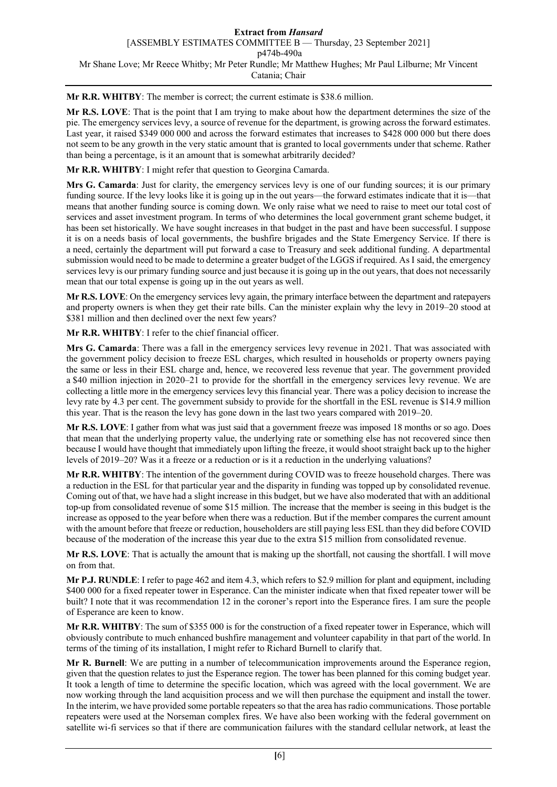**Mr R.R. WHITBY**: The member is correct; the current estimate is \$38.6 million.

**Mr R.S. LOVE**: That is the point that I am trying to make about how the department determines the size of the pie. The emergency services levy, a source of revenue for the department, is growing across the forward estimates. Last year, it raised \$349 000 000 and across the forward estimates that increases to \$428 000 000 but there does not seem to be any growth in the very static amount that is granted to local governments under that scheme. Rather than being a percentage, is it an amount that is somewhat arbitrarily decided?

**Mr R.R. WHITBY**: I might refer that question to Georgina Camarda.

**Mrs G. Camarda**: Just for clarity, the emergency services levy is one of our funding sources; it is our primary funding source. If the levy looks like it is going up in the out years—the forward estimates indicate that it is—that means that another funding source is coming down. We only raise what we need to raise to meet our total cost of services and asset investment program. In terms of who determines the local government grant scheme budget, it has been set historically. We have sought increases in that budget in the past and have been successful. I suppose it is on a needs basis of local governments, the bushfire brigades and the State Emergency Service. If there is a need, certainly the department will put forward a case to Treasury and seek additional funding. A departmental submission would need to be made to determine a greater budget of the LGGS if required. As I said, the emergency services levy is our primary funding source and just because it is going up in the out years, that does not necessarily mean that our total expense is going up in the out years as well.

**Mr R.S. LOVE**: On the emergency services levy again, the primary interface between the department and ratepayers and property owners is when they get their rate bills. Can the minister explain why the levy in 2019–20 stood at \$381 million and then declined over the next few years?

**Mr R.R. WHITBY**: I refer to the chief financial officer.

**Mrs G. Camarda**: There was a fall in the emergency services levy revenue in 2021. That was associated with the government policy decision to freeze ESL charges, which resulted in households or property owners paying the same or less in their ESL charge and, hence, we recovered less revenue that year. The government provided a \$40 million injection in 2020–21 to provide for the shortfall in the emergency services levy revenue. We are collecting a little more in the emergency services levy this financial year. There was a policy decision to increase the levy rate by 4.3 per cent. The government subsidy to provide for the shortfall in the ESL revenue is \$14.9 million this year. That is the reason the levy has gone down in the last two years compared with 2019–20.

**Mr R.S. LOVE**: I gather from what was just said that a government freeze was imposed 18 months or so ago. Does that mean that the underlying property value, the underlying rate or something else has not recovered since then because I would have thought that immediately upon lifting the freeze, it would shoot straight back up to the higher levels of 2019–20? Was it a freeze or a reduction or is it a reduction in the underlying valuations?

**Mr R.R. WHITBY**: The intention of the government during COVID was to freeze household charges. There was a reduction in the ESL for that particular year and the disparity in funding was topped up by consolidated revenue. Coming out of that, we have had a slight increase in this budget, but we have also moderated that with an additional top-up from consolidated revenue of some \$15 million. The increase that the member is seeing in this budget is the increase as opposed to the year before when there was a reduction. But if the member compares the current amount with the amount before that freeze or reduction, householders are still paying less ESL than they did before COVID because of the moderation of the increase this year due to the extra \$15 million from consolidated revenue.

**Mr R.S. LOVE**: That is actually the amount that is making up the shortfall, not causing the shortfall. I will move on from that.

**Mr P.J. RUNDLE**: I refer to page 462 and item 4.3, which refers to \$2.9 million for plant and equipment, including \$400 000 for a fixed repeater tower in Esperance. Can the minister indicate when that fixed repeater tower will be built? I note that it was recommendation 12 in the coroner's report into the Esperance fires. I am sure the people of Esperance are keen to know.

**Mr R.R. WHITBY**: The sum of \$355 000 is for the construction of a fixed repeater tower in Esperance, which will obviously contribute to much enhanced bushfire management and volunteer capability in that part of the world. In terms of the timing of its installation, I might refer to Richard Burnell to clarify that.

**Mr R. Burnell**: We are putting in a number of telecommunication improvements around the Esperance region, given that the question relates to just the Esperance region. The tower has been planned for this coming budget year. It took a length of time to determine the specific location, which was agreed with the local government. We are now working through the land acquisition process and we will then purchase the equipment and install the tower. In the interim, we have provided some portable repeaters so that the area has radio communications. Those portable repeaters were used at the Norseman complex fires. We have also been working with the federal government on satellite wi-fi services so that if there are communication failures with the standard cellular network, at least the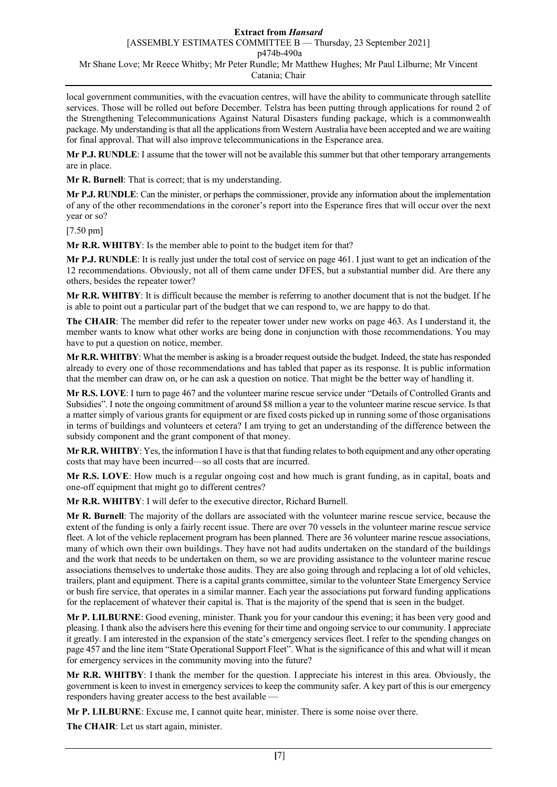local government communities, with the evacuation centres, will have the ability to communicate through satellite services. Those will be rolled out before December. Telstra has been putting through applications for round 2 of the Strengthening Telecommunications Against Natural Disasters funding package, which is a commonwealth package. My understanding is that all the applications from Western Australia have been accepted and we are waiting for final approval. That will also improve telecommunications in the Esperance area.

**Mr P.J. RUNDLE**: I assume that the tower will not be available this summer but that other temporary arrangements are in place.

**Mr R. Burnell**: That is correct; that is my understanding.

**Mr P.J. RUNDLE**: Can the minister, or perhaps the commissioner, provide any information about the implementation of any of the other recommendations in the coroner's report into the Esperance fires that will occur over the next year or so?

[7.50 pm]

**Mr R.R. WHITBY**: Is the member able to point to the budget item for that?

**Mr P.J. RUNDLE**: It is really just under the total cost of service on page 461. I just want to get an indication of the 12 recommendations. Obviously, not all of them came under DFES, but a substantial number did. Are there any others, besides the repeater tower?

**Mr R.R. WHITBY**: It is difficult because the member is referring to another document that is not the budget. If he is able to point out a particular part of the budget that we can respond to, we are happy to do that.

**The CHAIR**: The member did refer to the repeater tower under new works on page 463. As I understand it, the member wants to know what other works are being done in conjunction with those recommendations. You may have to put a question on notice, member.

**Mr R.R. WHITBY**: What the member is asking is a broader request outside the budget. Indeed, the state has responded already to every one of those recommendations and has tabled that paper as its response. It is public information that the member can draw on, or he can ask a question on notice. That might be the better way of handling it.

**Mr R.S. LOVE**: I turn to page 467 and the volunteer marine rescue service under "Details of Controlled Grants and Subsidies". I note the ongoing commitment of around \$8 million a year to the volunteer marine rescue service. Is that a matter simply of various grants for equipment or are fixed costs picked up in running some of those organisations in terms of buildings and volunteers et cetera? I am trying to get an understanding of the difference between the subsidy component and the grant component of that money.

**Mr R.R. WHITBY**: Yes, the information I have is that that funding relates to both equipment and any other operating costs that may have been incurred—so all costs that are incurred.

**Mr R.S. LOVE**: How much is a regular ongoing cost and how much is grant funding, as in capital, boats and one-off equipment that might go to different centres?

**Mr R.R. WHITBY**: I will defer to the executive director, Richard Burnell.

**Mr R. Burnell**: The majority of the dollars are associated with the volunteer marine rescue service, because the extent of the funding is only a fairly recent issue. There are over 70 vessels in the volunteer marine rescue service fleet. A lot of the vehicle replacement program has been planned. There are 36 volunteer marine rescue associations, many of which own their own buildings. They have not had audits undertaken on the standard of the buildings and the work that needs to be undertaken on them, so we are providing assistance to the volunteer marine rescue associations themselves to undertake those audits. They are also going through and replacing a lot of old vehicles, trailers, plant and equipment. There is a capital grants committee, similar to the volunteer State Emergency Service or bush fire service, that operates in a similar manner. Each year the associations put forward funding applications for the replacement of whatever their capital is. That is the majority of the spend that is seen in the budget.

**Mr P. LILBURNE**: Good evening, minister. Thank you for your candour this evening; it has been very good and pleasing. I thank also the advisers here this evening for their time and ongoing service to our community. I appreciate it greatly. I am interested in the expansion of the state's emergency services fleet. I refer to the spending changes on page 457 and the line item "State Operational Support Fleet". What is the significance of this and what will it mean for emergency services in the community moving into the future?

**Mr R.R. WHITBY**: I thank the member for the question. I appreciate his interest in this area. Obviously, the government is keen to invest in emergency services to keep the community safer. A key part of this is our emergency responders having greater access to the best available —

**Mr P. LILBURNE**: Excuse me, I cannot quite hear, minister. There is some noise over there.

**The CHAIR**: Let us start again, minister.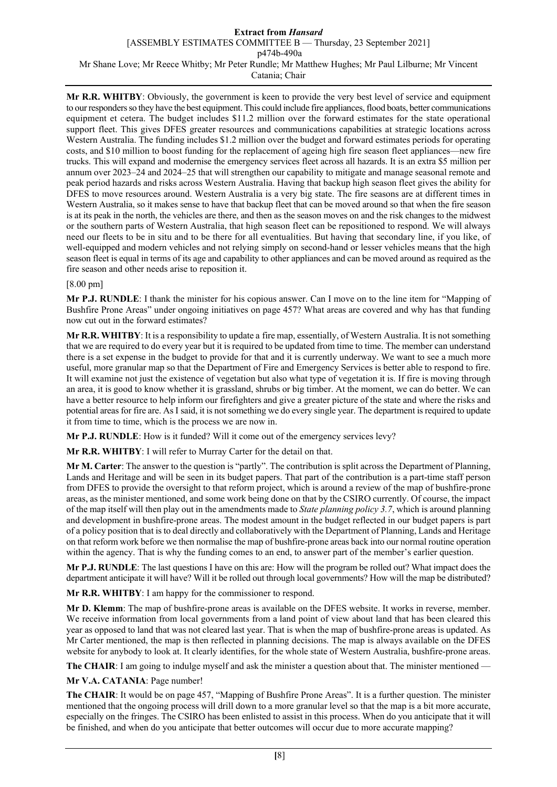**Mr R.R. WHITBY**: Obviously, the government is keen to provide the very best level of service and equipment to our responders so they have the best equipment. This could include fire appliances, flood boats, better communications equipment et cetera. The budget includes \$11.2 million over the forward estimates for the state operational support fleet. This gives DFES greater resources and communications capabilities at strategic locations across Western Australia. The funding includes \$1.2 million over the budget and forward estimates periods for operating costs, and \$10 million to boost funding for the replacement of ageing high fire season fleet appliances—new fire trucks. This will expand and modernise the emergency services fleet across all hazards. It is an extra \$5 million per annum over 2023–24 and 2024–25 that will strengthen our capability to mitigate and manage seasonal remote and peak period hazards and risks across Western Australia. Having that backup high season fleet gives the ability for DFES to move resources around. Western Australia is a very big state. The fire seasons are at different times in Western Australia, so it makes sense to have that backup fleet that can be moved around so that when the fire season is at its peak in the north, the vehicles are there, and then as the season moves on and the risk changes to the midwest or the southern parts of Western Australia, that high season fleet can be repositioned to respond. We will always need our fleets to be in situ and to be there for all eventualities. But having that secondary line, if you like, of well-equipped and modern vehicles and not relying simply on second-hand or lesser vehicles means that the high season fleet is equal in terms of its age and capability to other appliances and can be moved around as required as the fire season and other needs arise to reposition it.

# [8.00 pm]

**Mr P.J. RUNDLE**: I thank the minister for his copious answer. Can I move on to the line item for "Mapping of Bushfire Prone Areas" under ongoing initiatives on page 457? What areas are covered and why has that funding now cut out in the forward estimates?

**Mr R.R. WHITBY**: It is a responsibility to update a fire map, essentially, of Western Australia. It is not something that we are required to do every year but it is required to be updated from time to time. The member can understand there is a set expense in the budget to provide for that and it is currently underway. We want to see a much more useful, more granular map so that the Department of Fire and Emergency Services is better able to respond to fire. It will examine not just the existence of vegetation but also what type of vegetation it is. If fire is moving through an area, it is good to know whether it is grassland, shrubs or big timber. At the moment, we can do better. We can have a better resource to help inform our firefighters and give a greater picture of the state and where the risks and potential areas for fire are. As I said, it is not something we do every single year. The department is required to update it from time to time, which is the process we are now in.

**Mr P.J. RUNDLE**: How is it funded? Will it come out of the emergency services levy?

**Mr R.R. WHITBY**: I will refer to Murray Carter for the detail on that.

**Mr M. Carter**: The answer to the question is "partly". The contribution is split across the Department of Planning, Lands and Heritage and will be seen in its budget papers. That part of the contribution is a part-time staff person from DFES to provide the oversight to that reform project, which is around a review of the map of bushfire-prone areas, as the minister mentioned, and some work being done on that by the CSIRO currently. Of course, the impact of the map itself will then play out in the amendments made to *State planning policy 3.7*, which is around planning and development in bushfire-prone areas. The modest amount in the budget reflected in our budget papers is part of a policy position that is to deal directly and collaboratively with the Department of Planning, Lands and Heritage on that reform work before we then normalise the map of bushfire-prone areas back into our normal routine operation within the agency. That is why the funding comes to an end, to answer part of the member's earlier question.

**Mr P.J. RUNDLE**: The last questions I have on this are: How will the program be rolled out? What impact does the department anticipate it will have? Will it be rolled out through local governments? How will the map be distributed?

**Mr R.R. WHITBY**: I am happy for the commissioner to respond.

**Mr D. Klemm**: The map of bushfire-prone areas is available on the DFES website. It works in reverse, member. We receive information from local governments from a land point of view about land that has been cleared this year as opposed to land that was not cleared last year. That is when the map of bushfire-prone areas is updated. As Mr Carter mentioned, the map is then reflected in planning decisions. The map is always available on the DFES website for anybody to look at. It clearly identifies, for the whole state of Western Australia, bushfire-prone areas.

**The CHAIR:** I am going to indulge myself and ask the minister a question about that. The minister mentioned —

**Mr V.A. CATANIA**: Page number!

**The CHAIR**: It would be on page 457, "Mapping of Bushfire Prone Areas". It is a further question. The minister mentioned that the ongoing process will drill down to a more granular level so that the map is a bit more accurate, especially on the fringes. The CSIRO has been enlisted to assist in this process. When do you anticipate that it will be finished, and when do you anticipate that better outcomes will occur due to more accurate mapping?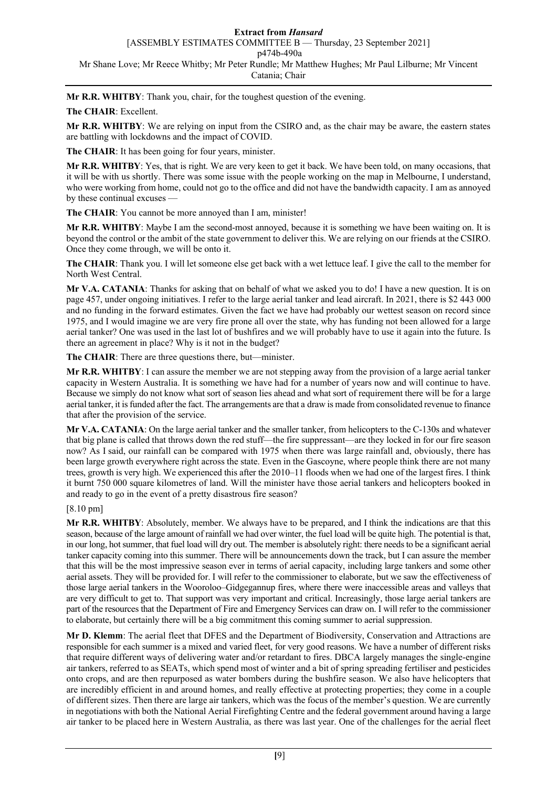**Mr R.R. WHITBY**: Thank you, chair, for the toughest question of the evening.

# **The CHAIR**: Excellent.

**Mr R.R. WHITBY**: We are relying on input from the CSIRO and, as the chair may be aware, the eastern states are battling with lockdowns and the impact of COVID.

**The CHAIR**: It has been going for four years, minister.

**Mr R.R. WHITBY**: Yes, that is right. We are very keen to get it back. We have been told, on many occasions, that it will be with us shortly. There was some issue with the people working on the map in Melbourne, I understand, who were working from home, could not go to the office and did not have the bandwidth capacity. I am as annoyed by these continual excuses -

**The CHAIR**: You cannot be more annoyed than I am, minister!

**Mr R.R. WHITBY**: Maybe I am the second-most annoyed, because it is something we have been waiting on. It is beyond the control or the ambit of the state government to deliver this. We are relying on our friends at the CSIRO. Once they come through, we will be onto it.

**The CHAIR**: Thank you. I will let someone else get back with a wet lettuce leaf. I give the call to the member for North West Central.

**Mr V.A. CATANIA**: Thanks for asking that on behalf of what we asked you to do! I have a new question. It is on page 457, under ongoing initiatives. I refer to the large aerial tanker and lead aircraft. In 2021, there is \$2 443 000 and no funding in the forward estimates. Given the fact we have had probably our wettest season on record since 1975, and I would imagine we are very fire prone all over the state, why has funding not been allowed for a large aerial tanker? One was used in the last lot of bushfires and we will probably have to use it again into the future. Is there an agreement in place? Why is it not in the budget?

**The CHAIR**: There are three questions there, but—minister.

**Mr R.R. WHITBY**: I can assure the member we are not stepping away from the provision of a large aerial tanker capacity in Western Australia. It is something we have had for a number of years now and will continue to have. Because we simply do not know what sort of season lies ahead and what sort of requirement there will be for a large aerial tanker, it is funded after the fact. The arrangements are that a draw is made from consolidated revenue to finance that after the provision of the service.

**Mr V.A. CATANIA**: On the large aerial tanker and the smaller tanker, from helicopters to the C-130s and whatever that big plane is called that throws down the red stuff—the fire suppressant—are they locked in for our fire season now? As I said, our rainfall can be compared with 1975 when there was large rainfall and, obviously, there has been large growth everywhere right across the state. Even in the Gascoyne, where people think there are not many trees, growth is very high. We experienced this after the 2010–11 floods when we had one of the largest fires. I think it burnt 750 000 square kilometres of land. Will the minister have those aerial tankers and helicopters booked in and ready to go in the event of a pretty disastrous fire season?

# [8.10 pm]

**Mr R.R. WHITBY**: Absolutely, member. We always have to be prepared, and I think the indications are that this season, because of the large amount of rainfall we had over winter, the fuel load will be quite high. The potential is that, in our long, hot summer, that fuel load will dry out. The member is absolutely right: there needs to be a significant aerial tanker capacity coming into this summer. There will be announcements down the track, but I can assure the member that this will be the most impressive season ever in terms of aerial capacity, including large tankers and some other aerial assets. They will be provided for. I will refer to the commissioner to elaborate, but we saw the effectiveness of those large aerial tankers in the Wooroloo–Gidgegannup fires, where there were inaccessible areas and valleys that are very difficult to get to. That support was very important and critical. Increasingly, those large aerial tankers are part of the resources that the Department of Fire and Emergency Services can draw on. I will refer to the commissioner to elaborate, but certainly there will be a big commitment this coming summer to aerial suppression.

**Mr D. Klemm**: The aerial fleet that DFES and the Department of Biodiversity, Conservation and Attractions are responsible for each summer is a mixed and varied fleet, for very good reasons. We have a number of different risks that require different ways of delivering water and/or retardant to fires. DBCA largely manages the single-engine air tankers, referred to as SEATs, which spend most of winter and a bit of spring spreading fertiliser and pesticides onto crops, and are then repurposed as water bombers during the bushfire season. We also have helicopters that are incredibly efficient in and around homes, and really effective at protecting properties; they come in a couple of different sizes. Then there are large air tankers, which was the focus of the member's question. We are currently in negotiations with both the National Aerial Firefighting Centre and the federal government around having a large air tanker to be placed here in Western Australia, as there was last year. One of the challenges for the aerial fleet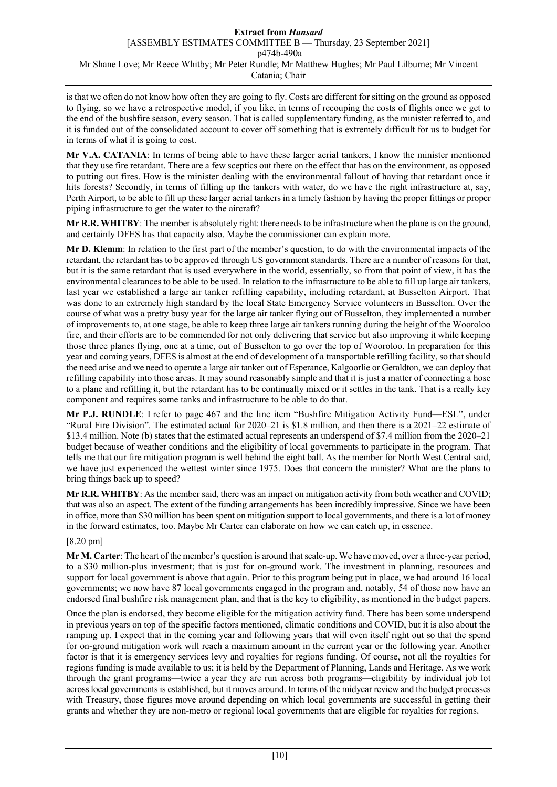is that we often do not know how often they are going to fly. Costs are different for sitting on the ground as opposed to flying, so we have a retrospective model, if you like, in terms of recouping the costs of flights once we get to the end of the bushfire season, every season. That is called supplementary funding, as the minister referred to, and it is funded out of the consolidated account to cover off something that is extremely difficult for us to budget for in terms of what it is going to cost.

**Mr V.A. CATANIA**: In terms of being able to have these larger aerial tankers, I know the minister mentioned that they use fire retardant. There are a few sceptics out there on the effect that has on the environment, as opposed to putting out fires. How is the minister dealing with the environmental fallout of having that retardant once it hits forests? Secondly, in terms of filling up the tankers with water, do we have the right infrastructure at, say, Perth Airport, to be able to fill up these larger aerial tankers in a timely fashion by having the proper fittings or proper piping infrastructure to get the water to the aircraft?

**Mr R.R. WHITBY**: The member is absolutely right: there needs to be infrastructure when the plane is on the ground, and certainly DFES has that capacity also. Maybe the commissioner can explain more.

**Mr D. Klemm**: In relation to the first part of the member's question, to do with the environmental impacts of the retardant, the retardant has to be approved through US government standards. There are a number of reasons for that, but it is the same retardant that is used everywhere in the world, essentially, so from that point of view, it has the environmental clearances to be able to be used. In relation to the infrastructure to be able to fill up large air tankers, last year we established a large air tanker refilling capability, including retardant, at Busselton Airport. That was done to an extremely high standard by the local State Emergency Service volunteers in Busselton. Over the course of what was a pretty busy year for the large air tanker flying out of Busselton, they implemented a number of improvements to, at one stage, be able to keep three large air tankers running during the height of the Wooroloo fire, and their efforts are to be commended for not only delivering that service but also improving it while keeping those three planes flying, one at a time, out of Busselton to go over the top of Wooroloo. In preparation for this year and coming years, DFES is almost at the end of development of a transportable refilling facility, so that should the need arise and we need to operate a large air tanker out of Esperance, Kalgoorlie or Geraldton, we can deploy that refilling capability into those areas. It may sound reasonably simple and that it is just a matter of connecting a hose to a plane and refilling it, but the retardant has to be continually mixed or it settles in the tank. That is a really key component and requires some tanks and infrastructure to be able to do that.

**Mr P.J. RUNDLE**: I refer to page 467 and the line item "Bushfire Mitigation Activity Fund—ESL", under "Rural Fire Division". The estimated actual for 2020–21 is \$1.8 million, and then there is a 2021–22 estimate of \$13.4 million. Note (b) states that the estimated actual represents an underspend of \$7.4 million from the 2020–21 budget because of weather conditions and the eligibility of local governments to participate in the program. That tells me that our fire mitigation program is well behind the eight ball. As the member for North West Central said, we have just experienced the wettest winter since 1975. Does that concern the minister? What are the plans to bring things back up to speed?

**Mr R.R. WHITBY**: As the member said, there was an impact on mitigation activity from both weather and COVID; that was also an aspect. The extent of the funding arrangements has been incredibly impressive. Since we have been in office, more than \$30 million has been spent on mitigation support to local governments, and there is a lot of money in the forward estimates, too. Maybe Mr Carter can elaborate on how we can catch up, in essence.

# [8.20 pm]

**Mr M. Carter**: The heart of the member's question is around that scale-up. We have moved, over a three-year period, to a \$30 million-plus investment; that is just for on-ground work. The investment in planning, resources and support for local government is above that again. Prior to this program being put in place, we had around 16 local governments; we now have 87 local governments engaged in the program and, notably, 54 of those now have an endorsed final bushfire risk management plan, and that is the key to eligibility, as mentioned in the budget papers.

Once the plan is endorsed, they become eligible for the mitigation activity fund. There has been some underspend in previous years on top of the specific factors mentioned, climatic conditions and COVID, but it is also about the ramping up. I expect that in the coming year and following years that will even itself right out so that the spend for on-ground mitigation work will reach a maximum amount in the current year or the following year. Another factor is that it is emergency services levy and royalties for regions funding. Of course, not all the royalties for regions funding is made available to us; it is held by the Department of Planning, Lands and Heritage. As we work through the grant programs—twice a year they are run across both programs—eligibility by individual job lot across local governments is established, but it moves around. In terms of the midyear review and the budget processes with Treasury, those figures move around depending on which local governments are successful in getting their grants and whether they are non-metro or regional local governments that are eligible for royalties for regions.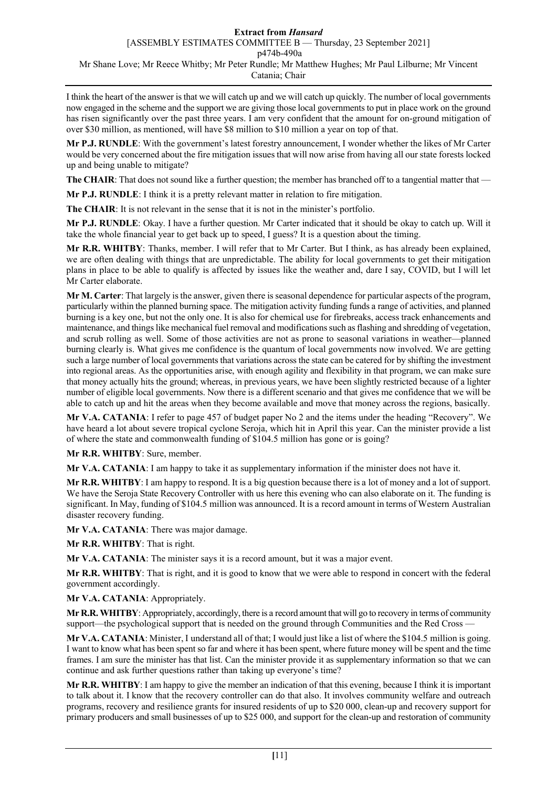I think the heart of the answer is that we will catch up and we will catch up quickly. The number of local governments now engaged in the scheme and the support we are giving those local governments to put in place work on the ground has risen significantly over the past three years. I am very confident that the amount for on-ground mitigation of over \$30 million, as mentioned, will have \$8 million to \$10 million a year on top of that.

**Mr P.J. RUNDLE**: With the government's latest forestry announcement, I wonder whether the likes of Mr Carter would be very concerned about the fire mitigation issues that will now arise from having all our state forests locked up and being unable to mitigate?

The CHAIR: That does not sound like a further question; the member has branched off to a tangential matter that —

**Mr P.J. RUNDLE**: I think it is a pretty relevant matter in relation to fire mitigation.

**The CHAIR**: It is not relevant in the sense that it is not in the minister's portfolio.

**Mr P.J. RUNDLE**: Okay. I have a further question. Mr Carter indicated that it should be okay to catch up. Will it take the whole financial year to get back up to speed, I guess? It is a question about the timing.

**Mr R.R. WHITBY**: Thanks, member. I will refer that to Mr Carter. But I think, as has already been explained, we are often dealing with things that are unpredictable. The ability for local governments to get their mitigation plans in place to be able to qualify is affected by issues like the weather and, dare I say, COVID, but I will let Mr Carter elaborate.

**Mr M. Carter**: That largely is the answer, given there is seasonal dependence for particular aspects of the program, particularly within the planned burning space. The mitigation activity funding funds a range of activities, and planned burning is a key one, but not the only one. It is also for chemical use for firebreaks, access track enhancements and maintenance, and things like mechanical fuel removal and modifications such as flashing and shredding of vegetation, and scrub rolling as well. Some of those activities are not as prone to seasonal variations in weather—planned burning clearly is. What gives me confidence is the quantum of local governments now involved. We are getting such a large number of local governments that variations across the state can be catered for by shifting the investment into regional areas. As the opportunities arise, with enough agility and flexibility in that program, we can make sure that money actually hits the ground; whereas, in previous years, we have been slightly restricted because of a lighter number of eligible local governments. Now there is a different scenario and that gives me confidence that we will be able to catch up and hit the areas when they become available and move that money across the regions, basically.

**Mr V.A. CATANIA**: I refer to page 457 of budget paper No 2 and the items under the heading "Recovery". We have heard a lot about severe tropical cyclone Seroja, which hit in April this year. Can the minister provide a list of where the state and commonwealth funding of \$104.5 million has gone or is going?

**Mr R.R. WHITBY**: Sure, member.

**Mr V.A. CATANIA**: I am happy to take it as supplementary information if the minister does not have it.

**Mr R.R. WHITBY**: I am happy to respond. It is a big question because there is a lot of money and a lot of support. We have the Seroja State Recovery Controller with us here this evening who can also elaborate on it. The funding is significant. In May, funding of \$104.5 million was announced. It is a record amount in terms of Western Australian disaster recovery funding.

**Mr V.A. CATANIA**: There was major damage.

**Mr R.R. WHITBY**: That is right.

**Mr V.A. CATANIA**: The minister says it is a record amount, but it was a major event.

**Mr R.R. WHITBY**: That is right, and it is good to know that we were able to respond in concert with the federal government accordingly.

**Mr V.A. CATANIA**: Appropriately.

**Mr R.R. WHITBY**: Appropriately, accordingly, there is a record amount that will go to recovery in terms of community support—the psychological support that is needed on the ground through Communities and the Red Cross -

**Mr V.A. CATANIA**: Minister, I understand all of that; I would just like a list of where the \$104.5 million is going. I want to know what has been spent so far and where it has been spent, where future money will be spent and the time frames. I am sure the minister has that list. Can the minister provide it as supplementary information so that we can continue and ask further questions rather than taking up everyone's time?

**Mr R.R. WHITBY**: I am happy to give the member an indication of that this evening, because I think it is important to talk about it. I know that the recovery controller can do that also. It involves community welfare and outreach programs, recovery and resilience grants for insured residents of up to \$20 000, clean-up and recovery support for primary producers and small businesses of up to \$25 000, and support for the clean-up and restoration of community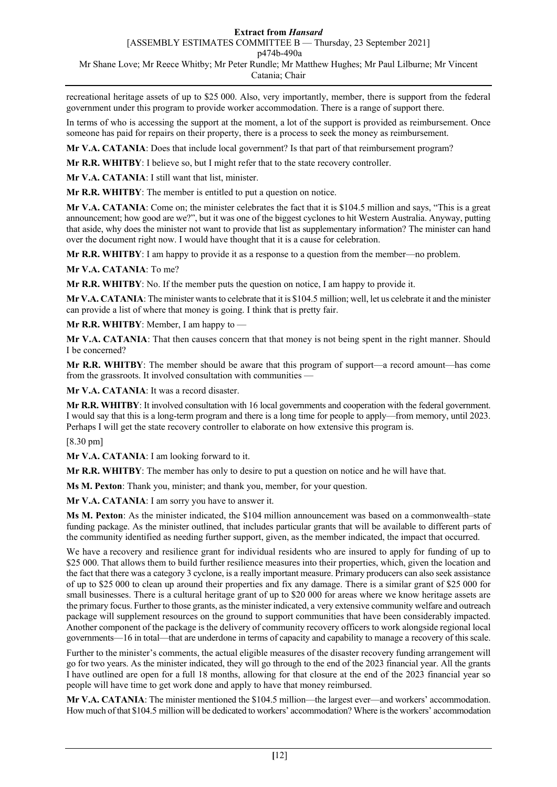recreational heritage assets of up to \$25 000. Also, very importantly, member, there is support from the federal government under this program to provide worker accommodation. There is a range of support there.

In terms of who is accessing the support at the moment, a lot of the support is provided as reimbursement. Once someone has paid for repairs on their property, there is a process to seek the money as reimbursement.

**Mr V.A. CATANIA**: Does that include local government? Is that part of that reimbursement program?

**Mr R.R. WHITBY**: I believe so, but I might refer that to the state recovery controller.

**Mr V.A. CATANIA**: I still want that list, minister.

**Mr R.R. WHITBY**: The member is entitled to put a question on notice.

**Mr V.A. CATANIA**: Come on; the minister celebrates the fact that it is \$104.5 million and says, "This is a great announcement; how good are we?", but it was one of the biggest cyclones to hit Western Australia. Anyway, putting that aside, why does the minister not want to provide that list as supplementary information? The minister can hand over the document right now. I would have thought that it is a cause for celebration.

**Mr R.R. WHITBY**: I am happy to provide it as a response to a question from the member—no problem.

**Mr V.A. CATANIA**: To me?

**Mr R.R. WHITBY**: No. If the member puts the question on notice, I am happy to provide it.

**Mr V.A. CATANIA**: The minister wants to celebrate that it is \$104.5 million; well, let us celebrate it and the minister can provide a list of where that money is going. I think that is pretty fair.

**Mr R.R. WHITBY**: Member, I am happy to —

**Mr V.A. CATANIA**: That then causes concern that that money is not being spent in the right manner. Should I be concerned?

**Mr R.R. WHITBY**: The member should be aware that this program of support—a record amount—has come from the grassroots. It involved consultation with communities —

**Mr V.A. CATANIA**: It was a record disaster.

**Mr R.R. WHITBY**: It involved consultation with 16 local governments and cooperation with the federal government. I would say that this is a long-term program and there is a long time for people to apply—from memory, until 2023. Perhaps I will get the state recovery controller to elaborate on how extensive this program is.

[8.30 pm]

**Mr V.A. CATANIA**: I am looking forward to it.

**Mr R.R. WHITBY**: The member has only to desire to put a question on notice and he will have that.

**Ms M. Pexton**: Thank you, minister; and thank you, member, for your question.

**Mr V.A. CATANIA**: I am sorry you have to answer it.

**Ms M. Pexton**: As the minister indicated, the \$104 million announcement was based on a commonwealth–state funding package. As the minister outlined, that includes particular grants that will be available to different parts of the community identified as needing further support, given, as the member indicated, the impact that occurred.

We have a recovery and resilience grant for individual residents who are insured to apply for funding of up to \$25 000. That allows them to build further resilience measures into their properties, which, given the location and the fact that there was a category 3 cyclone, is a really important measure. Primary producers can also seek assistance of up to \$25 000 to clean up around their properties and fix any damage. There is a similar grant of \$25 000 for small businesses. There is a cultural heritage grant of up to \$20 000 for areas where we know heritage assets are the primary focus. Further to those grants, as the minister indicated, a very extensive community welfare and outreach package will supplement resources on the ground to support communities that have been considerably impacted. Another component of the package is the delivery of community recovery officers to work alongside regional local governments—16 in total—that are underdone in terms of capacity and capability to manage a recovery of this scale.

Further to the minister's comments, the actual eligible measures of the disaster recovery funding arrangement will go for two years. As the minister indicated, they will go through to the end of the 2023 financial year. All the grants I have outlined are open for a full 18 months, allowing for that closure at the end of the 2023 financial year so people will have time to get work done and apply to have that money reimbursed.

**Mr V.A. CATANIA**: The minister mentioned the \$104.5 million—the largest ever—and workers' accommodation. How much of that \$104.5 million will be dedicated to workers' accommodation? Where is the workers' accommodation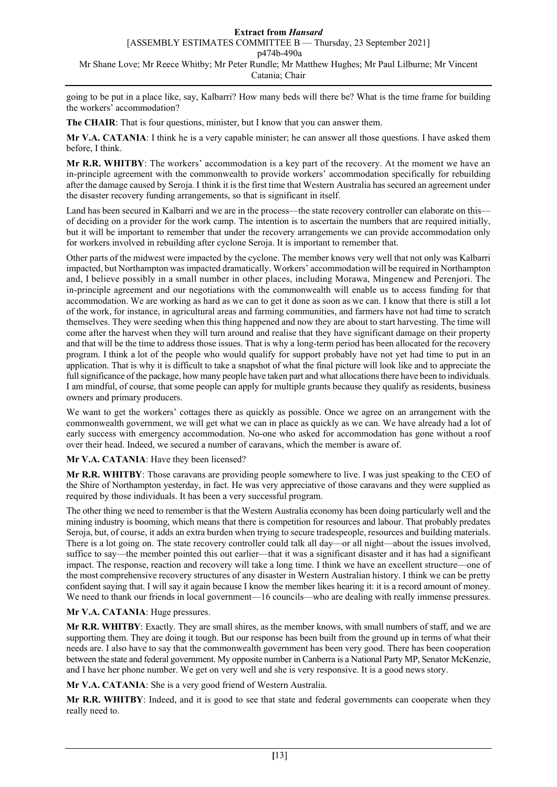going to be put in a place like, say, Kalbarri? How many beds will there be? What is the time frame for building the workers' accommodation?

**The CHAIR**: That is four questions, minister, but I know that you can answer them.

**Mr V.A. CATANIA**: I think he is a very capable minister; he can answer all those questions. I have asked them before, I think.

**Mr R.R. WHITBY**: The workers' accommodation is a key part of the recovery. At the moment we have an in-principle agreement with the commonwealth to provide workers' accommodation specifically for rebuilding after the damage caused by Seroja. I think it is the first time that Western Australia has secured an agreement under the disaster recovery funding arrangements, so that is significant in itself.

Land has been secured in Kalbarri and we are in the process—the state recovery controller can elaborate on this of deciding on a provider for the work camp. The intention is to ascertain the numbers that are required initially, but it will be important to remember that under the recovery arrangements we can provide accommodation only for workers involved in rebuilding after cyclone Seroja. It is important to remember that.

Other parts of the midwest were impacted by the cyclone. The member knows very well that not only was Kalbarri impacted, but Northampton was impacted dramatically. Workers' accommodation will be required in Northampton and, I believe possibly in a small number in other places, including Morawa, Mingenew and Perenjori. The in-principle agreement and our negotiations with the commonwealth will enable us to access funding for that accommodation. We are working as hard as we can to get it done as soon as we can. I know that there is still a lot of the work, for instance, in agricultural areas and farming communities, and farmers have not had time to scratch themselves. They were seeding when this thing happened and now they are about to start harvesting. The time will come after the harvest when they will turn around and realise that they have significant damage on their property and that will be the time to address those issues. That is why a long-term period has been allocated for the recovery program. I think a lot of the people who would qualify for support probably have not yet had time to put in an application. That is why it is difficult to take a snapshot of what the final picture will look like and to appreciate the full significance of the package, how many people have taken part and what allocations there have been to individuals. I am mindful, of course, that some people can apply for multiple grants because they qualify as residents, business owners and primary producers.

We want to get the workers' cottages there as quickly as possible. Once we agree on an arrangement with the commonwealth government, we will get what we can in place as quickly as we can. We have already had a lot of early success with emergency accommodation. No-one who asked for accommodation has gone without a roof over their head. Indeed, we secured a number of caravans, which the member is aware of.

### **Mr V.A. CATANIA**: Have they been licensed?

**Mr R.R. WHITBY**: Those caravans are providing people somewhere to live. I was just speaking to the CEO of the Shire of Northampton yesterday, in fact. He was very appreciative of those caravans and they were supplied as required by those individuals. It has been a very successful program.

The other thing we need to remember is that the Western Australia economy has been doing particularly well and the mining industry is booming, which means that there is competition for resources and labour. That probably predates Seroja, but, of course, it adds an extra burden when trying to secure tradespeople, resources and building materials. There is a lot going on. The state recovery controller could talk all day—or all night—about the issues involved, suffice to say—the member pointed this out earlier—that it was a significant disaster and it has had a significant impact. The response, reaction and recovery will take a long time. I think we have an excellent structure—one of the most comprehensive recovery structures of any disaster in Western Australian history. I think we can be pretty confident saying that. I will say it again because I know the member likes hearing it: it is a record amount of money. We need to thank our friends in local government—16 councils—who are dealing with really immense pressures.

### **Mr V.A. CATANIA**: Huge pressures.

**Mr R.R. WHITBY**: Exactly. They are small shires, as the member knows, with small numbers of staff, and we are supporting them. They are doing it tough. But our response has been built from the ground up in terms of what their needs are. I also have to say that the commonwealth government has been very good. There has been cooperation between the state and federal government. My opposite number in Canberra is a National Party MP, Senator McKenzie, and I have her phone number. We get on very well and she is very responsive. It is a good news story.

**Mr V.A. CATANIA**: She is a very good friend of Western Australia.

**Mr R.R. WHITBY**: Indeed, and it is good to see that state and federal governments can cooperate when they really need to.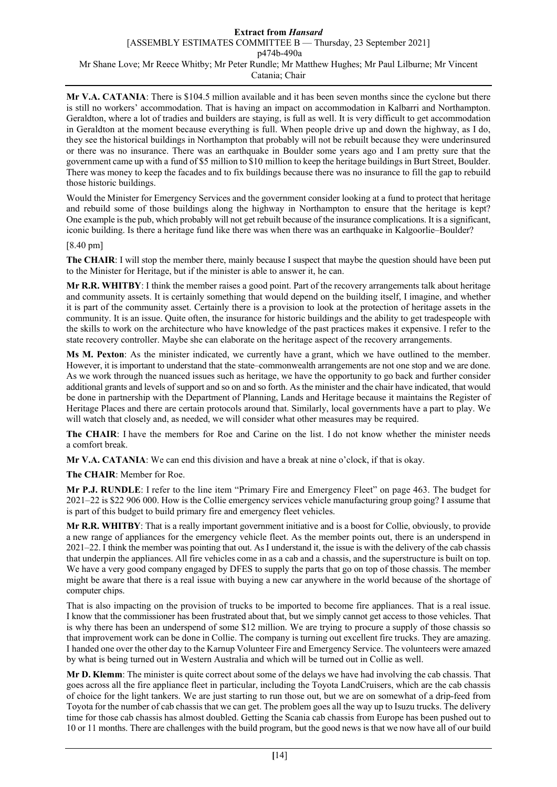**Mr V.A. CATANIA**: There is \$104.5 million available and it has been seven months since the cyclone but there is still no workers' accommodation. That is having an impact on accommodation in Kalbarri and Northampton. Geraldton, where a lot of tradies and builders are staying, is full as well. It is very difficult to get accommodation in Geraldton at the moment because everything is full. When people drive up and down the highway, as I do, they see the historical buildings in Northampton that probably will not be rebuilt because they were underinsured or there was no insurance. There was an earthquake in Boulder some years ago and I am pretty sure that the government came up with a fund of \$5 million to \$10 million to keep the heritage buildings in Burt Street, Boulder. There was money to keep the facades and to fix buildings because there was no insurance to fill the gap to rebuild those historic buildings.

Would the Minister for Emergency Services and the government consider looking at a fund to protect that heritage and rebuild some of those buildings along the highway in Northampton to ensure that the heritage is kept? One example is the pub, which probably will not get rebuilt because of the insurance complications. It is a significant, iconic building. Is there a heritage fund like there was when there was an earthquake in Kalgoorlie–Boulder?

### [8.40 pm]

**The CHAIR**: I will stop the member there, mainly because I suspect that maybe the question should have been put to the Minister for Heritage, but if the minister is able to answer it, he can.

**Mr R.R. WHITBY**: I think the member raises a good point. Part of the recovery arrangements talk about heritage and community assets. It is certainly something that would depend on the building itself, I imagine, and whether it is part of the community asset. Certainly there is a provision to look at the protection of heritage assets in the community. It is an issue. Quite often, the insurance for historic buildings and the ability to get tradespeople with the skills to work on the architecture who have knowledge of the past practices makes it expensive. I refer to the state recovery controller. Maybe she can elaborate on the heritage aspect of the recovery arrangements.

**Ms M. Pexton**: As the minister indicated, we currently have a grant, which we have outlined to the member. However, it is important to understand that the state–commonwealth arrangements are not one stop and we are done. As we work through the nuanced issues such as heritage, we have the opportunity to go back and further consider additional grants and levels of support and so on and so forth. As the minister and the chair have indicated, that would be done in partnership with the Department of Planning, Lands and Heritage because it maintains the Register of Heritage Places and there are certain protocols around that. Similarly, local governments have a part to play. We will watch that closely and, as needed, we will consider what other measures may be required.

**The CHAIR**: I have the members for Roe and Carine on the list. I do not know whether the minister needs a comfort break.

**Mr V.A. CATANIA**: We can end this division and have a break at nine o'clock, if that is okay.

**The CHAIR**: Member for Roe.

**Mr P.J. RUNDLE**: I refer to the line item "Primary Fire and Emergency Fleet" on page 463. The budget for 2021–22 is \$22 906 000. How is the Collie emergency services vehicle manufacturing group going? I assume that is part of this budget to build primary fire and emergency fleet vehicles.

**Mr R.R. WHITBY**: That is a really important government initiative and is a boost for Collie, obviously, to provide a new range of appliances for the emergency vehicle fleet. As the member points out, there is an underspend in 2021–22. I think the member was pointing that out. As I understand it, the issue is with the delivery of the cab chassis that underpin the appliances. All fire vehicles come in as a cab and a chassis, and the superstructure is built on top. We have a very good company engaged by DFES to supply the parts that go on top of those chassis. The member might be aware that there is a real issue with buying a new car anywhere in the world because of the shortage of computer chips.

That is also impacting on the provision of trucks to be imported to become fire appliances. That is a real issue. I know that the commissioner has been frustrated about that, but we simply cannot get access to those vehicles. That is why there has been an underspend of some \$12 million. We are trying to procure a supply of those chassis so that improvement work can be done in Collie. The company is turning out excellent fire trucks. They are amazing. I handed one over the other day to the Karnup Volunteer Fire and Emergency Service. The volunteers were amazed by what is being turned out in Western Australia and which will be turned out in Collie as well.

**Mr D. Klemm**: The minister is quite correct about some of the delays we have had involving the cab chassis. That goes across all the fire appliance fleet in particular, including the Toyota LandCruisers, which are the cab chassis of choice for the light tankers. We are just starting to run those out, but we are on somewhat of a drip-feed from Toyota for the number of cab chassis that we can get. The problem goes all the way up to Isuzu trucks. The delivery time for those cab chassis has almost doubled. Getting the Scania cab chassis from Europe has been pushed out to 10 or 11 months. There are challenges with the build program, but the good news is that we now have all of our build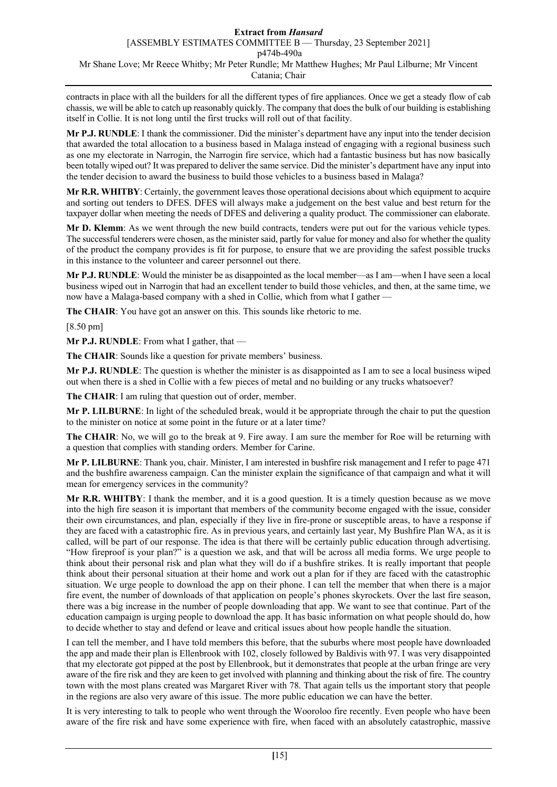contracts in place with all the builders for all the different types of fire appliances. Once we get a steady flow of cab chassis, we will be able to catch up reasonably quickly. The company that does the bulk of our building is establishing itself in Collie. It is not long until the first trucks will roll out of that facility.

**Mr P.J. RUNDLE**: I thank the commissioner. Did the minister's department have any input into the tender decision that awarded the total allocation to a business based in Malaga instead of engaging with a regional business such as one my electorate in Narrogin, the Narrogin fire service, which had a fantastic business but has now basically been totally wiped out? It was prepared to deliver the same service. Did the minister's department have any input into the tender decision to award the business to build those vehicles to a business based in Malaga?

**Mr R.R. WHITBY**: Certainly, the government leaves those operational decisions about which equipment to acquire and sorting out tenders to DFES. DFES will always make a judgement on the best value and best return for the taxpayer dollar when meeting the needs of DFES and delivering a quality product. The commissioner can elaborate.

**Mr D. Klemm**: As we went through the new build contracts, tenders were put out for the various vehicle types. The successful tenderers were chosen, as the minister said, partly for value for money and also for whether the quality of the product the company provides is fit for purpose, to ensure that we are providing the safest possible trucks in this instance to the volunteer and career personnel out there.

**Mr P.J. RUNDLE**: Would the minister be as disappointed as the local member—as I am—when I have seen a local business wiped out in Narrogin that had an excellent tender to build those vehicles, and then, at the same time, we now have a Malaga-based company with a shed in Collie, which from what I gather -

**The CHAIR**: You have got an answer on this. This sounds like rhetoric to me.

[8.50 pm]

**Mr P.J. RUNDLE**: From what I gather, that —

**The CHAIR**: Sounds like a question for private members' business.

**Mr P.J. RUNDLE**: The question is whether the minister is as disappointed as I am to see a local business wiped out when there is a shed in Collie with a few pieces of metal and no building or any trucks whatsoever?

**The CHAIR**: I am ruling that question out of order, member.

**Mr P. LILBURNE**: In light of the scheduled break, would it be appropriate through the chair to put the question to the minister on notice at some point in the future or at a later time?

**The CHAIR**: No, we will go to the break at 9. Fire away. I am sure the member for Roe will be returning with a question that complies with standing orders. Member for Carine.

**Mr P. LILBURNE**: Thank you, chair. Minister, I am interested in bushfire risk management and I refer to page 471 and the bushfire awareness campaign. Can the minister explain the significance of that campaign and what it will mean for emergency services in the community?

**Mr R.R. WHITBY**: I thank the member, and it is a good question. It is a timely question because as we move into the high fire season it is important that members of the community become engaged with the issue, consider their own circumstances, and plan, especially if they live in fire-prone or susceptible areas, to have a response if they are faced with a catastrophic fire. As in previous years, and certainly last year, My Bushfire Plan WA, as it is called, will be part of our response. The idea is that there will be certainly public education through advertising. "How fireproof is your plan?" is a question we ask, and that will be across all media forms. We urge people to think about their personal risk and plan what they will do if a bushfire strikes. It is really important that people think about their personal situation at their home and work out a plan for if they are faced with the catastrophic situation. We urge people to download the app on their phone. I can tell the member that when there is a major fire event, the number of downloads of that application on people's phones skyrockets. Over the last fire season, there was a big increase in the number of people downloading that app. We want to see that continue. Part of the education campaign is urging people to download the app. It has basic information on what people should do, how to decide whether to stay and defend or leave and critical issues about how people handle the situation.

I can tell the member, and I have told members this before, that the suburbs where most people have downloaded the app and made their plan is Ellenbrook with 102, closely followed by Baldivis with 97. I was very disappointed that my electorate got pipped at the post by Ellenbrook, but it demonstrates that people at the urban fringe are very aware of the fire risk and they are keen to get involved with planning and thinking about the risk of fire. The country town with the most plans created was Margaret River with 78. That again tells us the important story that people in the regions are also very aware of this issue. The more public education we can have the better.

It is very interesting to talk to people who went through the Wooroloo fire recently. Even people who have been aware of the fire risk and have some experience with fire, when faced with an absolutely catastrophic, massive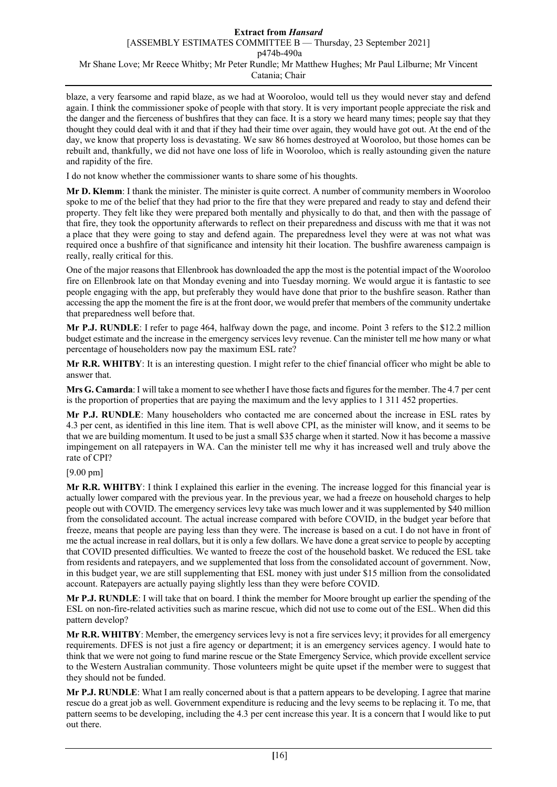blaze, a very fearsome and rapid blaze, as we had at Wooroloo, would tell us they would never stay and defend again. I think the commissioner spoke of people with that story. It is very important people appreciate the risk and the danger and the fierceness of bushfires that they can face. It is a story we heard many times; people say that they thought they could deal with it and that if they had their time over again, they would have got out. At the end of the day, we know that property loss is devastating. We saw 86 homes destroyed at Wooroloo, but those homes can be rebuilt and, thankfully, we did not have one loss of life in Wooroloo, which is really astounding given the nature and rapidity of the fire.

I do not know whether the commissioner wants to share some of his thoughts.

**Mr D. Klemm**: I thank the minister. The minister is quite correct. A number of community members in Wooroloo spoke to me of the belief that they had prior to the fire that they were prepared and ready to stay and defend their property. They felt like they were prepared both mentally and physically to do that, and then with the passage of that fire, they took the opportunity afterwards to reflect on their preparedness and discuss with me that it was not a place that they were going to stay and defend again. The preparedness level they were at was not what was required once a bushfire of that significance and intensity hit their location. The bushfire awareness campaign is really, really critical for this.

One of the major reasons that Ellenbrook has downloaded the app the most is the potential impact of the Wooroloo fire on Ellenbrook late on that Monday evening and into Tuesday morning. We would argue it is fantastic to see people engaging with the app, but preferably they would have done that prior to the bushfire season. Rather than accessing the app the moment the fire is at the front door, we would prefer that members of the community undertake that preparedness well before that.

**Mr P.J. RUNDLE**: I refer to page 464, halfway down the page, and income. Point 3 refers to the \$12.2 million budget estimate and the increase in the emergency services levy revenue. Can the minister tell me how many or what percentage of householders now pay the maximum ESL rate?

**Mr R.R. WHITBY**: It is an interesting question. I might refer to the chief financial officer who might be able to answer that.

**Mrs G. Camarda**:I will take a moment to see whether I have those facts and figures for the member. The 4.7 per cent is the proportion of properties that are paying the maximum and the levy applies to 1 311 452 properties.

**Mr P.J. RUNDLE**: Many householders who contacted me are concerned about the increase in ESL rates by 4.3 per cent, as identified in this line item. That is well above CPI, as the minister will know, and it seems to be that we are building momentum. It used to be just a small \$35 charge when it started. Now it has become a massive impingement on all ratepayers in WA. Can the minister tell me why it has increased well and truly above the rate of CPI?

[9.00 pm]

**Mr R.R. WHITBY**: I think I explained this earlier in the evening. The increase logged for this financial year is actually lower compared with the previous year. In the previous year, we had a freeze on household charges to help people out with COVID. The emergency services levy take was much lower and it was supplemented by \$40 million from the consolidated account. The actual increase compared with before COVID, in the budget year before that freeze, means that people are paying less than they were. The increase is based on a cut. I do not have in front of me the actual increase in real dollars, but it is only a few dollars. We have done a great service to people by accepting that COVID presented difficulties. We wanted to freeze the cost of the household basket. We reduced the ESL take from residents and ratepayers, and we supplemented that loss from the consolidated account of government. Now, in this budget year, we are still supplementing that ESL money with just under \$15 million from the consolidated account. Ratepayers are actually paying slightly less than they were before COVID.

**Mr P.J. RUNDLE**: I will take that on board. I think the member for Moore brought up earlier the spending of the ESL on non-fire-related activities such as marine rescue, which did not use to come out of the ESL. When did this pattern develop?

**Mr R.R. WHITBY**: Member, the emergency services levy is not a fire services levy; it provides for all emergency requirements. DFES is not just a fire agency or department; it is an emergency services agency. I would hate to think that we were not going to fund marine rescue or the State Emergency Service, which provide excellent service to the Western Australian community. Those volunteers might be quite upset if the member were to suggest that they should not be funded.

**Mr P.J. RUNDLE**: What I am really concerned about is that a pattern appears to be developing. I agree that marine rescue do a great job as well. Government expenditure is reducing and the levy seems to be replacing it. To me, that pattern seems to be developing, including the 4.3 per cent increase this year. It is a concern that I would like to put out there.